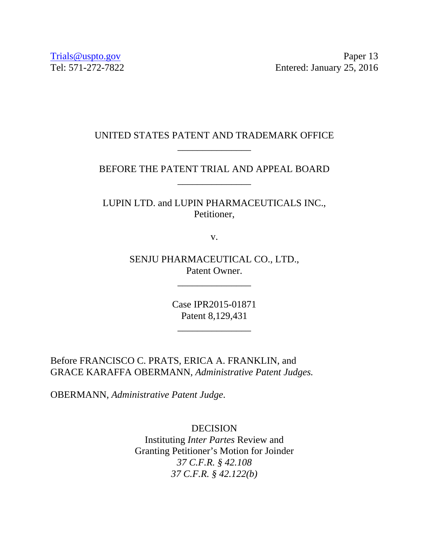Trials@uspto.gov Paper 13 Tel: 571-272-7822 Entered: January 25, 2016

# UNITED STATES PATENT AND TRADEMARK OFFICE \_\_\_\_\_\_\_\_\_\_\_\_\_\_\_

## BEFORE THE PATENT TRIAL AND APPEAL BOARD \_\_\_\_\_\_\_\_\_\_\_\_\_\_\_

LUPIN LTD. and LUPIN PHARMACEUTICALS INC., Petitioner,

v.

SENJU PHARMACEUTICAL CO., LTD., Patent Owner.

\_\_\_\_\_\_\_\_\_\_\_\_\_\_\_

Case IPR2015-01871 Patent 8,129,431

\_\_\_\_\_\_\_\_\_\_\_\_\_\_\_

Before FRANCISCO C. PRATS, ERICA A. FRANKLIN, and GRACE KARAFFA OBERMANN, *Administrative Patent Judges.* 

OBERMANN, *Administrative Patent Judge*.

DECISION Instituting *Inter Partes* Review and Granting Petitioner's Motion for Joinder *37 C.F.R. § 42.108 37 C.F.R. § 42.122(b)*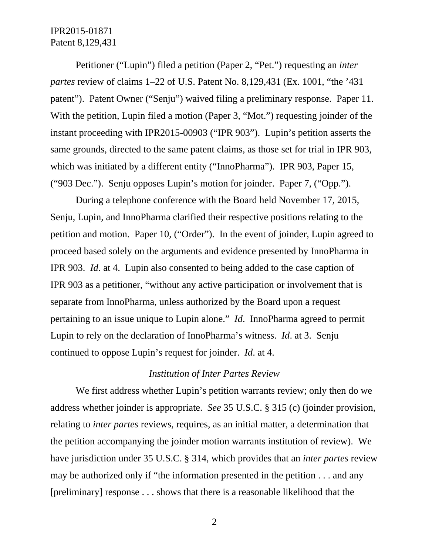Petitioner ("Lupin") filed a petition (Paper 2, "Pet.") requesting an *inter partes* review of claims 1–22 of U.S. Patent No. 8,129,431 (Ex. 1001, "the '431 patent"). Patent Owner ("Senju") waived filing a preliminary response. Paper 11. With the petition, Lupin filed a motion (Paper 3, "Mot.") requesting joinder of the instant proceeding with IPR2015-00903 ("IPR 903"). Lupin's petition asserts the same grounds, directed to the same patent claims, as those set for trial in IPR 903, which was initiated by a different entity ("InnoPharma"). IPR 903, Paper 15, ("903 Dec."). Senju opposes Lupin's motion for joinder. Paper 7, ("Opp.").

During a telephone conference with the Board held November 17, 2015, Senju, Lupin, and InnoPharma clarified their respective positions relating to the petition and motion. Paper 10, ("Order"). In the event of joinder, Lupin agreed to proceed based solely on the arguments and evidence presented by InnoPharma in IPR 903. *Id*. at 4. Lupin also consented to being added to the case caption of IPR 903 as a petitioner, "without any active participation or involvement that is separate from InnoPharma, unless authorized by the Board upon a request pertaining to an issue unique to Lupin alone." *Id*. InnoPharma agreed to permit Lupin to rely on the declaration of InnoPharma's witness. *Id*. at 3. Senju continued to oppose Lupin's request for joinder. *Id*. at 4.

### *Institution of Inter Partes Review*

We first address whether Lupin's petition warrants review; only then do we address whether joinder is appropriate. *See* 35 U.S.C. § 315 (c) (joinder provision, relating to *inter partes* reviews, requires, as an initial matter, a determination that the petition accompanying the joinder motion warrants institution of review). We have jurisdiction under 35 U.S.C. § 314, which provides that an *inter partes* review may be authorized only if "the information presented in the petition . . . and any [preliminary] response . . . shows that there is a reasonable likelihood that the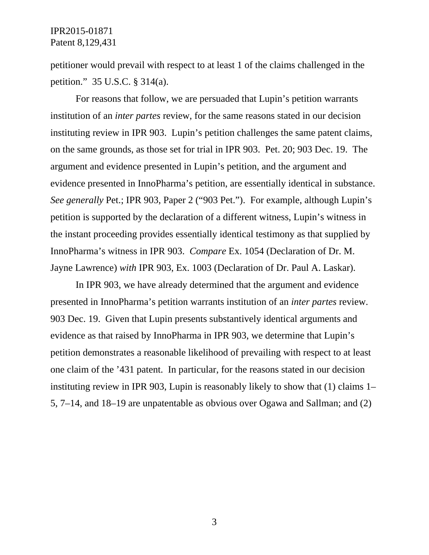petitioner would prevail with respect to at least 1 of the claims challenged in the petition." 35 U.S.C. § 314(a).

For reasons that follow, we are persuaded that Lupin's petition warrants institution of an *inter partes* review, for the same reasons stated in our decision instituting review in IPR 903. Lupin's petition challenges the same patent claims, on the same grounds, as those set for trial in IPR 903. Pet. 20; 903 Dec. 19. The argument and evidence presented in Lupin's petition, and the argument and evidence presented in InnoPharma's petition, are essentially identical in substance. *See generally* Pet.; IPR 903, Paper 2 ("903 Pet."). For example, although Lupin's petition is supported by the declaration of a different witness, Lupin's witness in the instant proceeding provides essentially identical testimony as that supplied by InnoPharma's witness in IPR 903. *Compare* Ex. 1054 (Declaration of Dr. M. Jayne Lawrence) *with* IPR 903, Ex. 1003 (Declaration of Dr. Paul A. Laskar).

In IPR 903, we have already determined that the argument and evidence presented in InnoPharma's petition warrants institution of an *inter partes* review. 903 Dec. 19. Given that Lupin presents substantively identical arguments and evidence as that raised by InnoPharma in IPR 903, we determine that Lupin's petition demonstrates a reasonable likelihood of prevailing with respect to at least one claim of the '431 patent. In particular, for the reasons stated in our decision instituting review in IPR 903, Lupin is reasonably likely to show that (1) claims 1– 5, 7–14, and 18–19 are unpatentable as obvious over Ogawa and Sallman; and (2)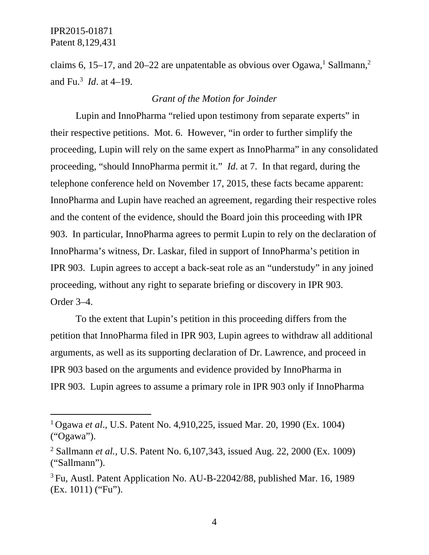$\overline{a}$ 

claims 6, 15–17, and 20–22 are unpatentable as obvious over Ogawa,<sup>1</sup> Sallmann,<sup>2</sup> and Fu.3 *Id*. at 4–19.

# *Grant of the Motion for Joinder*

Lupin and InnoPharma "relied upon testimony from separate experts" in their respective petitions. Mot. 6. However, "in order to further simplify the proceeding, Lupin will rely on the same expert as InnoPharma" in any consolidated proceeding, "should InnoPharma permit it." *Id*. at 7. In that regard, during the telephone conference held on November 17, 2015, these facts became apparent: InnoPharma and Lupin have reached an agreement, regarding their respective roles and the content of the evidence, should the Board join this proceeding with IPR 903. In particular, InnoPharma agrees to permit Lupin to rely on the declaration of InnoPharma's witness, Dr. Laskar, filed in support of InnoPharma's petition in IPR 903. Lupin agrees to accept a back-seat role as an "understudy" in any joined proceeding, without any right to separate briefing or discovery in IPR 903. Order 3–4.

To the extent that Lupin's petition in this proceeding differs from the petition that InnoPharma filed in IPR 903, Lupin agrees to withdraw all additional arguments, as well as its supporting declaration of Dr. Lawrence, and proceed in IPR 903 based on the arguments and evidence provided by InnoPharma in IPR 903. Lupin agrees to assume a primary role in IPR 903 only if InnoPharma

<sup>1</sup> Ogawa *et al*., U.S. Patent No. 4,910,225, issued Mar. 20, 1990 (Ex. 1004) ("Ogawa").

<sup>2</sup> Sallmann *et al.*, U.S. Patent No. 6,107,343, issued Aug. 22, 2000 (Ex. 1009) ("Sallmann").

<sup>3</sup> Fu, Austl. Patent Application No. AU-B-22042/88, published Mar. 16, 1989 (Ex. 1011) ("Fu").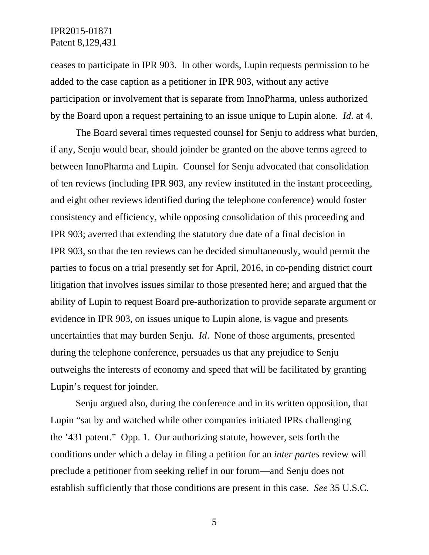ceases to participate in IPR 903. In other words, Lupin requests permission to be added to the case caption as a petitioner in IPR 903, without any active participation or involvement that is separate from InnoPharma, unless authorized by the Board upon a request pertaining to an issue unique to Lupin alone. *Id*. at 4.

The Board several times requested counsel for Senju to address what burden, if any, Senju would bear, should joinder be granted on the above terms agreed to between InnoPharma and Lupin. Counsel for Senju advocated that consolidation of ten reviews (including IPR 903, any review instituted in the instant proceeding, and eight other reviews identified during the telephone conference) would foster consistency and efficiency, while opposing consolidation of this proceeding and IPR 903; averred that extending the statutory due date of a final decision in IPR 903, so that the ten reviews can be decided simultaneously, would permit the parties to focus on a trial presently set for April, 2016, in co-pending district court litigation that involves issues similar to those presented here; and argued that the ability of Lupin to request Board pre-authorization to provide separate argument or evidence in IPR 903, on issues unique to Lupin alone, is vague and presents uncertainties that may burden Senju. *Id*. None of those arguments, presented during the telephone conference, persuades us that any prejudice to Senju outweighs the interests of economy and speed that will be facilitated by granting Lupin's request for joinder.

Senju argued also, during the conference and in its written opposition, that Lupin "sat by and watched while other companies initiated IPRs challenging the '431 patent." Opp. 1. Our authorizing statute, however, sets forth the conditions under which a delay in filing a petition for an *inter partes* review will preclude a petitioner from seeking relief in our forum—and Senju does not establish sufficiently that those conditions are present in this case. *See* 35 U.S.C.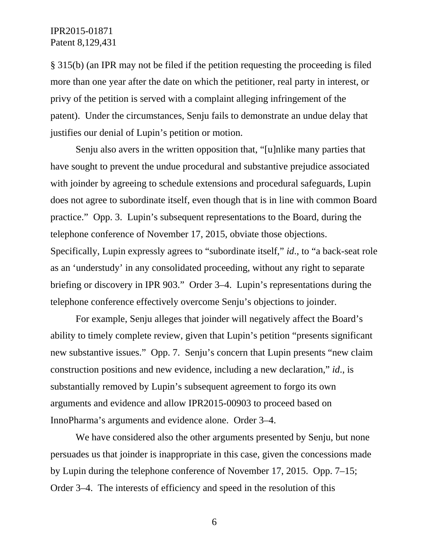§ 315(b) (an IPR may not be filed if the petition requesting the proceeding is filed more than one year after the date on which the petitioner, real party in interest, or privy of the petition is served with a complaint alleging infringement of the patent). Under the circumstances, Senju fails to demonstrate an undue delay that justifies our denial of Lupin's petition or motion.

Senju also avers in the written opposition that, "[u]nlike many parties that have sought to prevent the undue procedural and substantive prejudice associated with joinder by agreeing to schedule extensions and procedural safeguards, Lupin does not agree to subordinate itself, even though that is in line with common Board practice." Opp. 3. Lupin's subsequent representations to the Board, during the telephone conference of November 17, 2015, obviate those objections. Specifically, Lupin expressly agrees to "subordinate itself," *id*., to "a back-seat role as an 'understudy' in any consolidated proceeding, without any right to separate briefing or discovery in IPR 903." Order 3–4. Lupin's representations during the telephone conference effectively overcome Senju's objections to joinder.

For example, Senju alleges that joinder will negatively affect the Board's ability to timely complete review, given that Lupin's petition "presents significant new substantive issues." Opp. 7. Senju's concern that Lupin presents "new claim construction positions and new evidence, including a new declaration," *id*., is substantially removed by Lupin's subsequent agreement to forgo its own arguments and evidence and allow IPR2015-00903 to proceed based on InnoPharma's arguments and evidence alone. Order 3–4.

We have considered also the other arguments presented by Senju, but none persuades us that joinder is inappropriate in this case, given the concessions made by Lupin during the telephone conference of November 17, 2015. Opp. 7–15; Order 3–4. The interests of efficiency and speed in the resolution of this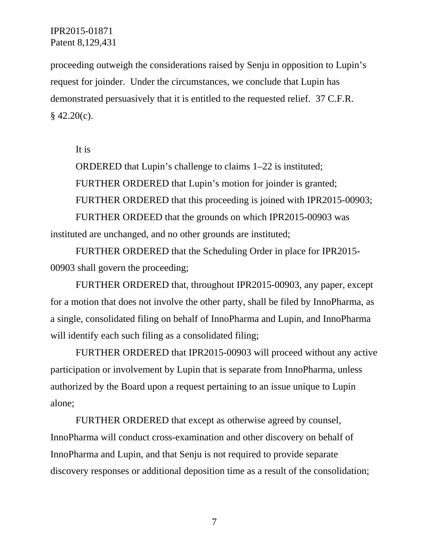proceeding outweigh the considerations raised by Senju in opposition to Lupin's request for joinder. Under the circumstances, we conclude that Lupin has demonstrated persuasively that it is entitled to the requested relief. 37 C.F.R.  $§$  42.20(c).

It is

ORDERED that Lupin's challenge to claims 1–22 is instituted; FURTHER ORDERED that Lupin's motion for joinder is granted; FURTHER ORDERED that this proceeding is joined with IPR2015-00903; FURTHER ORDEED that the grounds on which IPR2015-00903 was instituted are unchanged, and no other grounds are instituted;

FURTHER ORDERED that the Scheduling Order in place for IPR2015- 00903 shall govern the proceeding;

FURTHER ORDERED that, throughout IPR2015-00903, any paper, except for a motion that does not involve the other party, shall be filed by InnoPharma, as a single, consolidated filing on behalf of InnoPharma and Lupin, and InnoPharma will identify each such filing as a consolidated filing;

FURTHER ORDERED that IPR2015-00903 will proceed without any active participation or involvement by Lupin that is separate from InnoPharma, unless authorized by the Board upon a request pertaining to an issue unique to Lupin alone;

FURTHER ORDERED that except as otherwise agreed by counsel, InnoPharma will conduct cross-examination and other discovery on behalf of InnoPharma and Lupin, and that Senju is not required to provide separate discovery responses or additional deposition time as a result of the consolidation;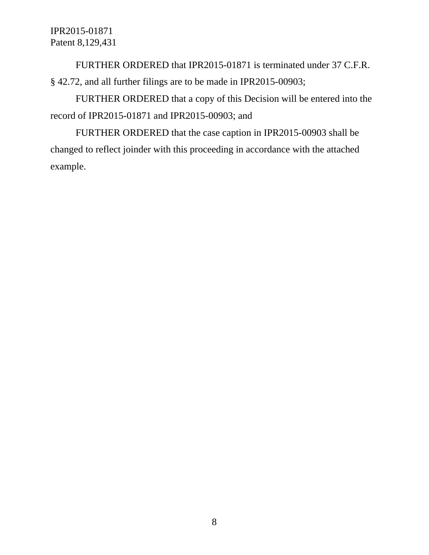FURTHER ORDERED that IPR2015-01871 is terminated under 37 C.F.R. § 42.72, and all further filings are to be made in IPR2015-00903;

FURTHER ORDERED that a copy of this Decision will be entered into the record of IPR2015-01871 and IPR2015-00903; and

FURTHER ORDERED that the case caption in IPR2015-00903 shall be changed to reflect joinder with this proceeding in accordance with the attached example.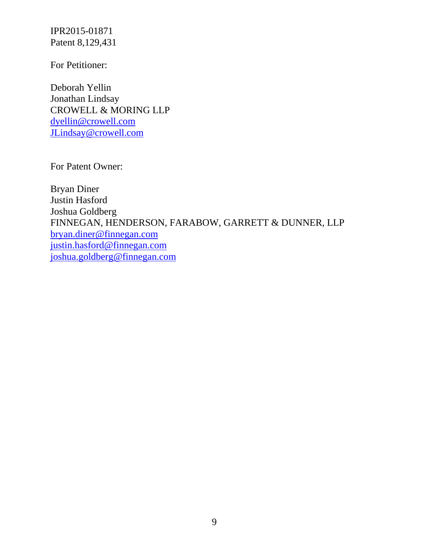For Petitioner:

Deborah Yellin Jonathan Lindsay CROWELL & MORING LLP dyellin@crowell.com JLindsay@crowell.com

For Patent Owner:

Bryan Diner Justin Hasford Joshua Goldberg FINNEGAN, HENDERSON, FARABOW, GARRETT & DUNNER, LLP bryan.diner@finnegan.com justin.hasford@finnegan.com joshua.goldberg@finnegan.com